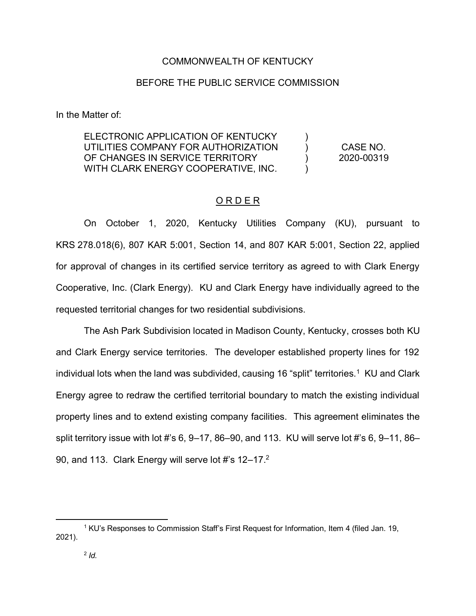## COMMONWEALTH OF KENTUCKY

## BEFORE THE PUBLIC SERVICE COMMISSION

In the Matter of:

| ELECTRONIC APPLICATION OF KENTUCKY  |            |
|-------------------------------------|------------|
| UTILITIES COMPANY FOR AUTHORIZATION | CASE NO.   |
| OF CHANGES IN SERVICE TERRITORY     | 2020-00319 |
| WITH CLARK ENERGY COOPERATIVE, INC. |            |

#### ORDER

On October 1, 2020, Kentucky Utilities Company (KU), pursuant to KRS 278.018(6), 807 KAR 5:001, Section 14, and 807 KAR 5:001, Section 22, applied for approval of changes in its certified service territory as agreed to with Clark Energy Cooperative, Inc. (Clark Energy). KU and Clark Energy have individually agreed to the requested territorial changes for two residential subdivisions.

The Ash Park Subdivision located in Madison County, Kentucky, crosses both KU and Clark Energy service territories. The developer established property lines for 192 individual lots when the land was subdivided, causing 16 "split" territories.<sup>1</sup> KU and Clark Energy agree to redraw the certified territorial boundary to match the existing individual property lines and to extend existing company facilities. This agreement eliminates the split territory issue with lot #'s 6, 9–17, 86–90, and 113. KU will serve lot #'s 6, 9–11, 86– 90, and 113. Clark Energy will serve lot #'s 12-17.<sup>2</sup>

 $\overline{a}$ 

<sup>1</sup> KU's Responses to Commission Staff's First Request for Information, Item 4 (filed Jan. 19, 2021).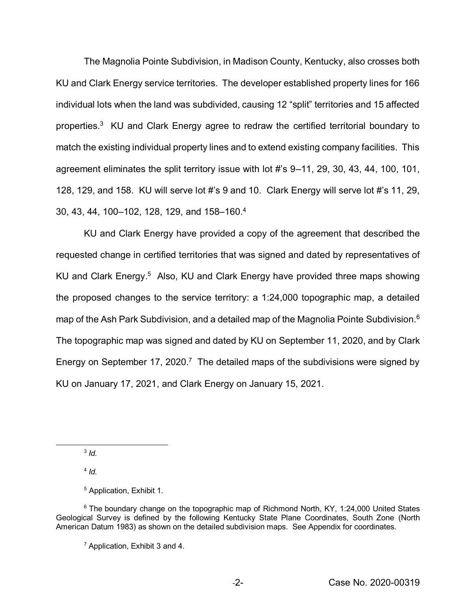The Magnolia Pointe Subdivision, in Madison County, Kentucky, also crosses both KU and Clark Energy service territories. The developer established property lines for 166 individual lots when the land was subdivided, causing 12 "split" territories and 15 affected properties.3 KU and Clark Energy agree to redraw the certified territorial boundary to match the existing individual property lines and to extend existing company facilities. This agreement eliminates the split territory issue with lot #'s 9–11, 29, 30, 43, 44, 100, 101, 128, 129, and 158. KU will serve lot #'s 9 and 10. Clark Energy will serve lot #'s 11, 29, 30, 43, 44, 100–102, 128, 129, and 158–160.4

KU and Clark Energy have provided a copy of the agreement that described the requested change in certified territories that was signed and dated by representatives of KU and Clark Energy.<sup>5</sup> Also, KU and Clark Energy have provided three maps showing the proposed changes to the service territory: a 1:24,000 topographic map, a detailed map of the Ash Park Subdivision, and a detailed map of the Magnolia Pointe Subdivision.<sup>6</sup> The topographic map was signed and dated by KU on September 11, 2020, and by Clark Energy on September 17, 2020.<sup>7</sup> The detailed maps of the subdivisions were signed by KU on January 17, 2021, and Clark Energy on January 15, 2021.

<sup>3</sup> *Id.*

 $\overline{a}$ 

<sup>4</sup> *Id.*

<sup>5</sup> Application, Exhibit 1.

 $6$  The boundary change on the topographic map of Richmond North, KY, 1:24,000 United States Geological Survey is defined by the following Kentucky State Plane Coordinates, South Zone (North American Datum 1983) as shown on the detailed subdivision maps. See Appendix for coordinates.

 $7$  Application, Exhibit 3 and 4.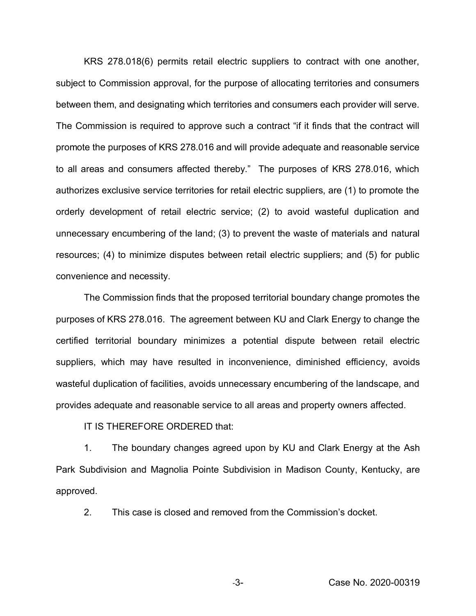KRS 278.018(6) permits retail electric suppliers to contract with one another, subject to Commission approval, for the purpose of allocating territories and consumers between them, and designating which territories and consumers each provider will serve. The Commission is required to approve such a contract "if it finds that the contract will promote the purposes of KRS 278.016 and will provide adequate and reasonable service to all areas and consumers affected thereby." The purposes of KRS 278.016, which authorizes exclusive service territories for retail electric suppliers, are (1) to promote the orderly development of retail electric service; (2) to avoid wasteful duplication and unnecessary encumbering of the land; (3) to prevent the waste of materials and natural resources; (4) to minimize disputes between retail electric suppliers; and (5) for public convenience and necessity.

The Commission finds that the proposed territorial boundary change promotes the purposes of KRS 278.016. The agreement between KU and Clark Energy to change the certified territorial boundary minimizes a potential dispute between retail electric suppliers, which may have resulted in inconvenience, diminished efficiency, avoids wasteful duplication of facilities, avoids unnecessary encumbering of the landscape, and provides adequate and reasonable service to all areas and property owners affected.

IT IS THEREFORE ORDERED that:

1. The boundary changes agreed upon by KU and Clark Energy at the Ash Park Subdivision and Magnolia Pointe Subdivision in Madison County, Kentucky, are approved.

2. This case is closed and removed from the Commission's docket.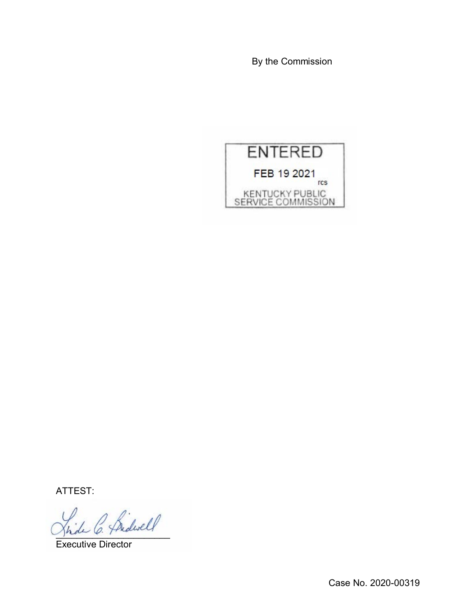By the Commission



ATTEST:

2 Bidwell

Executive Director

Case No. 2020-00319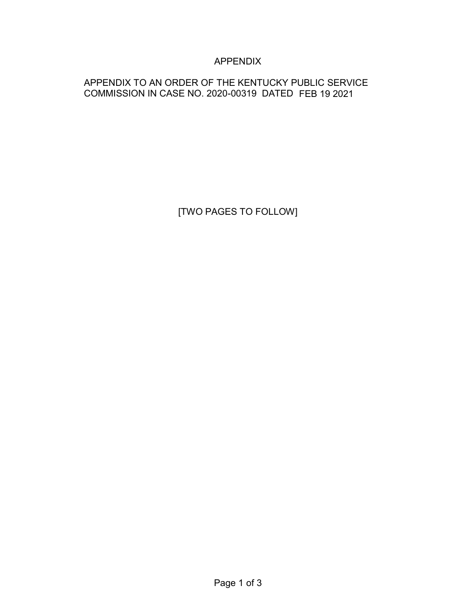# APPENDIX

## APPENDIX TO AN ORDER OF THE KENTUCKY PUBLIC SERVICE COMMISSION IN CASE NO. 2020-00319 DATED FEB 19 2021

[TWO PAGES TO FOLLOW]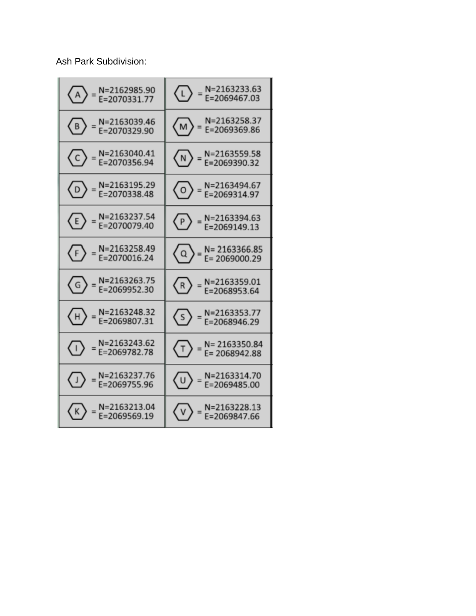Ash Park Subdivision:

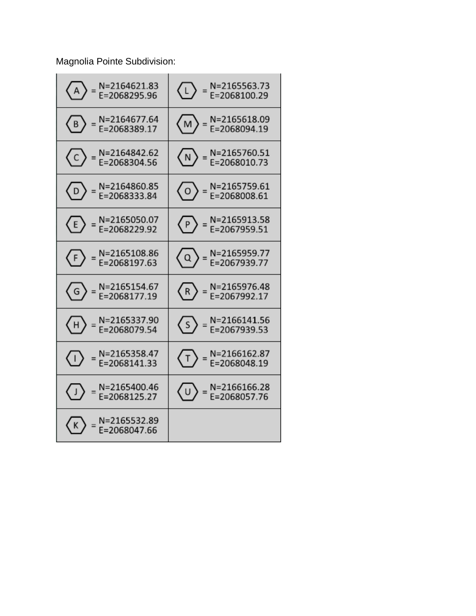Magnolia Pointe Subdivision:

| N=2164621.83<br>E=2068295.96<br>$\langle A \rangle$                                                             | $\circled{1}$ = N=2165563.73                                                                                                                  |
|-----------------------------------------------------------------------------------------------------------------|-----------------------------------------------------------------------------------------------------------------------------------------------|
| N=2164677.64<br>E=2068389.17<br>$\langle$ B $\rangle$                                                           | $\binom{M}{M}$ = N=2165618.09                                                                                                                 |
| $\circled{C}$ = N=2164842.62                                                                                    | $\sqrt{N}$ = N=2165760.51<br>E=2068010.73                                                                                                     |
| N=2164860.85<br>E=2068333.84<br>$\langle D \rangle$ =                                                           | $\langle 0 \rangle$ = N=2165759.61                                                                                                            |
| $\circled{E}$ = N=2165050.07                                                                                    | $\circled{P}$ = N=2165913.58                                                                                                                  |
| $\circled{F}$ = N=2165108.86                                                                                    | $\left\langle \overline{Q} \right\rangle$ = N=2165959.77<br>E=2067939.77                                                                      |
| $\circled{G}$ = N=2165154.67                                                                                    | $\binom{R}{R}$ = N=2165976.48                                                                                                                 |
| $\begin{Bmatrix} 1 \end{Bmatrix}$ = N=2165337.90                                                                | $\binom{5}{ }$ = N=2166141.56                                                                                                                 |
| N=2165358.47<br>$\langle \cdot   \rangle$ =<br>E=2068141.33                                                     | $\begin{Bmatrix} \begin{pmatrix} \mathsf{T} \end{pmatrix} = \begin{bmatrix} \mathsf{N} = 2166162.87 \\ \mathsf{E} = 2068048.19 \end{bmatrix}$ |
| $\begin{array}{ c c }\n\hline\n\end{array} = \begin{array}{ c }\nN = 2165400.46 \\ E = 2068125.27\n\end{array}$ | $\begin{Bmatrix} 0 \end{Bmatrix}$ = N=2166166.28<br>E=2068057.76                                                                              |
| N=2165532.89<br>( K ) =<br>E=2068047.66                                                                         |                                                                                                                                               |